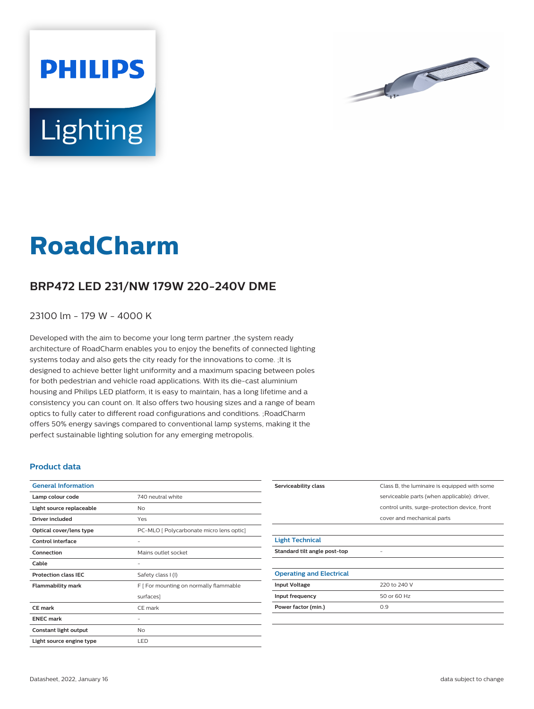



# **RoadCharm**

## **BRP472 LED 231/NW 179W 220-240V DME**

23100 lm - 179 W - 4000 K

Developed with the aim to become your long term partner ,the system ready architecture of RoadCharm enables you to enjoy the benefits of connected lighting systems today and also gets the city ready for the innovations to come. ;It is designed to achieve better light uniformity and a maximum spacing between poles for both pedestrian and vehicle road applications. With its die-cast aluminium housing and Philips LED platform, it is easy to maintain, has a long lifetime and a consistency you can count on. It also offers two housing sizes and a range of beam optics to fully cater to different road configurations and conditions. ;RoadCharm offers 50% energy savings compared to conventional lamp systems, making it the perfect sustainable lighting solution for any emerging metropolis.

#### **Product data**

| <b>General Information</b>  |                                          |
|-----------------------------|------------------------------------------|
| Lamp colour code            | 740 neutral white                        |
| Light source replaceable    | No                                       |
| Driver included             | Yes                                      |
| Optical cover/lens type     | PC-MLO [ Polycarbonate micro lens optic] |
| Control interface           |                                          |
| Connection                  | Mains outlet socket                      |
| Cable                       |                                          |
| <b>Protection class IEC</b> | Safety class I (I)                       |
| <b>Flammability mark</b>    | F [ For mounting on normally flammable   |
|                             | surfaces]                                |
| CF mark                     | CE mark                                  |
| <b>ENEC mark</b>            |                                          |
| Constant light output       | No                                       |
| Light source engine type    | LED                                      |

| Serviceability class            | Class B, the luminaire is equipped with some  |
|---------------------------------|-----------------------------------------------|
|                                 | serviceable parts (when applicable): driver,  |
|                                 | control units, surge-protection device, front |
|                                 | cover and mechanical parts                    |
|                                 |                                               |
| <b>Light Technical</b>          |                                               |
| Standard tilt angle post-top    |                                               |
|                                 |                                               |
| <b>Operating and Electrical</b> |                                               |
| <b>Input Voltage</b>            | 220 to 240 V                                  |
| Input frequency                 | 50 or 60 Hz                                   |
| Power factor (min.)             | 0.9                                           |
|                                 |                                               |